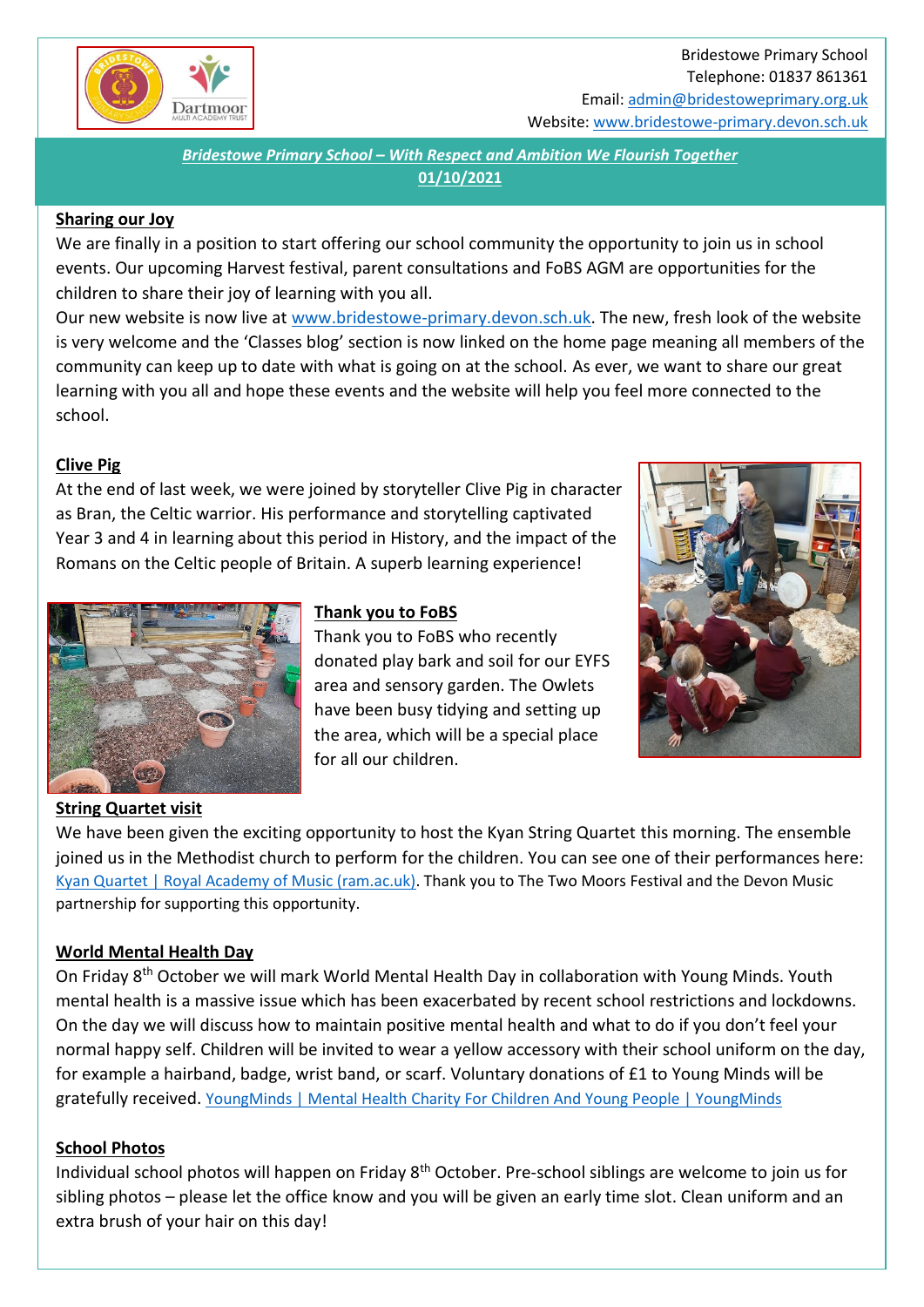

## Bridestowe Primary School Telephone: 01837 861361 Email[: admin@bridestoweprimary.org.uk](mailto:admin@bridestoweprimary.org.uk) Website: [www.bridestowe-primary.devon.sch.uk](http://www.bridestowe-primary.devon.sch.uk/)

*Bridestowe Primary School – With Respect and Ambition We Flourish Together* **01/10/2021**

### **Sharing our Joy**

We are finally in a position to start offering our school community the opportunity to join us in school events. Our upcoming Harvest festival, parent consultations and FoBS AGM are opportunities for the children to share their joy of learning with you all.

Our new website is now live at [www.bridestowe-primary.devon.sch.uk.](http://www.bridestowe-primary.devon.sch.uk/) The new, fresh look of the website is very welcome and the 'Classes blog' section is now linked on the home page meaning all members of the community can keep up to date with what is going on at the school. As ever, we want to share our great learning with you all and hope these events and the website will help you feel more connected to the school.

## **Clive Pig**

At the end of last week, we were joined by storyteller Clive Pig in character as Bran, the Celtic warrior. His performance and storytelling captivated Year 3 and 4 in learning about this period in History, and the impact of the Romans on the Celtic people of Britain. A superb learning experience!



### **Thank you to FoBS**

Thank you to FoBS who recently donated play bark and soil for our EYFS area and sensory garden. The Owlets have been busy tidying and setting up the area, which will be a special place for all our children.



We have been given the exciting opportunity to host the Kyan String Quartet this morning. The ensemble joined us in the Methodist church to perform for the children. You can see one of their performances here: [Kyan Quartet | Royal Academy of Music \(ram.ac.uk\).](https://www.ram.ac.uk/recordings/kyan-quartet) Thank you to The Two Moors Festival and the Devon Music partnership for supporting this opportunity.

## **World Mental Health Day**

**String Quartet visit**

On Friday 8th October we will mark World Mental Health Day in collaboration with Young Minds. Youth mental health is a massive issue which has been exacerbated by recent school restrictions and lockdowns. On the day we will discuss how to maintain positive mental health and what to do if you don't feel your normal happy self. Children will be invited to wear a yellow accessory with their school uniform on the day, for example a hairband, badge, wrist band, or scarf. Voluntary donations of £1 to Young Minds will be gratefully received. [YoungMinds | Mental Health Charity For Children And Young People | YoungMinds](https://www.youngminds.org.uk/)

## **School Photos**

Individual school photos will happen on Friday 8th October. Pre-school siblings are welcome to join us for sibling photos – please let the office know and you will be given an early time slot. Clean uniform and an extra brush of your hair on this day!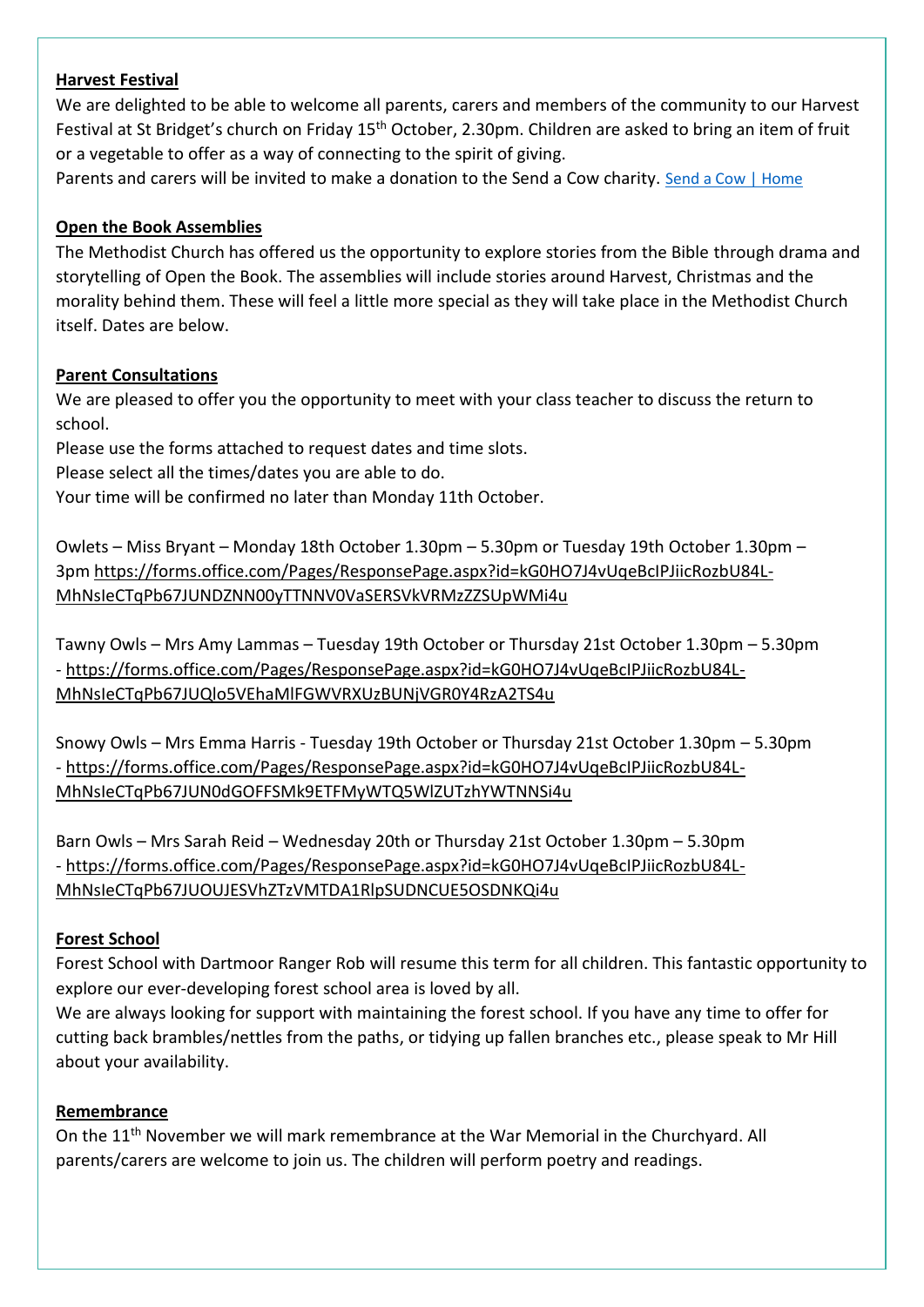## **Harvest Festival**

We are delighted to be able to welcome all parents, carers and members of the community to our Harvest Festival at St Bridget's church on Friday 15th October, 2.30pm. Children are asked to bring an item of fruit or a vegetable to offer as a way of connecting to the spirit of giving.

Parents and carers will be invited to make a donation to the Send a Cow charity. [Send a Cow | Home](https://sendacow.org/)

## **Open the Book Assemblies**

The Methodist Church has offered us the opportunity to explore stories from the Bible through drama and storytelling of Open the Book. The assemblies will include stories around Harvest, Christmas and the morality behind them. These will feel a little more special as they will take place in the Methodist Church itself. Dates are below.

## **Parent Consultations**

We are pleased to offer you the opportunity to meet with your class teacher to discuss the return to school.

Please use the forms attached to request dates and time slots.

Please select all the times/dates you are able to do.

Your time will be confirmed no later than Monday 11th October.

Owlets – Miss Bryant – Monday 18th October 1.30pm – 5.30pm or Tuesday 19th October 1.30pm – 3pm [https://forms.office.com/Pages/ResponsePage.aspx?id=kG0HO7J4vUqeBcIPJiicRozbU84L-](https://forms.office.com/Pages/ResponsePage.aspx?id=kG0HO7J4vUqeBcIPJiicRozbU84L-MhNsIeCTqPb67JUNDZNN00yTTNNV0VaSERSVkVRMzZZSUpWMi4u)[MhNsIeCTqPb67JUNDZNN00yTTNNV0VaSERSVkVRMzZZSUpWMi4u](https://forms.office.com/Pages/ResponsePage.aspx?id=kG0HO7J4vUqeBcIPJiicRozbU84L-MhNsIeCTqPb67JUNDZNN00yTTNNV0VaSERSVkVRMzZZSUpWMi4u)

Tawny Owls – Mrs Amy Lammas – Tuesday 19th October or Thursday 21st October 1.30pm – 5.30pm - [https://forms.office.com/Pages/ResponsePage.aspx?id=kG0HO7J4vUqeBcIPJiicRozbU84L-](https://forms.office.com/Pages/ResponsePage.aspx?id=kG0HO7J4vUqeBcIPJiicRozbU84L-MhNsIeCTqPb67JUQlo5VEhaMlFGWVRXUzBUNjVGR0Y4RzA2TS4u)[MhNsIeCTqPb67JUQlo5VEhaMlFGWVRXUzBUNjVGR0Y4RzA2TS4u](https://forms.office.com/Pages/ResponsePage.aspx?id=kG0HO7J4vUqeBcIPJiicRozbU84L-MhNsIeCTqPb67JUQlo5VEhaMlFGWVRXUzBUNjVGR0Y4RzA2TS4u)

Snowy Owls – Mrs Emma Harris - Tuesday 19th October or Thursday 21st October 1.30pm – 5.30pm - [https://forms.office.com/Pages/ResponsePage.aspx?id=kG0HO7J4vUqeBcIPJiicRozbU84L-](https://forms.office.com/Pages/ResponsePage.aspx?id=kG0HO7J4vUqeBcIPJiicRozbU84L-MhNsIeCTqPb67JUN0dGOFFSMk9ETFMyWTQ5WlZUTzhYWTNNSi4u)[MhNsIeCTqPb67JUN0dGOFFSMk9ETFMyWTQ5WlZUTzhYWTNNSi4u](https://forms.office.com/Pages/ResponsePage.aspx?id=kG0HO7J4vUqeBcIPJiicRozbU84L-MhNsIeCTqPb67JUN0dGOFFSMk9ETFMyWTQ5WlZUTzhYWTNNSi4u)

Barn Owls – Mrs Sarah Reid – Wednesday 20th or Thursday 21st October 1.30pm – 5.30pm - [https://forms.office.com/Pages/ResponsePage.aspx?id=kG0HO7J4vUqeBcIPJiicRozbU84L-](https://forms.office.com/Pages/ResponsePage.aspx?id=kG0HO7J4vUqeBcIPJiicRozbU84L-MhNsIeCTqPb67JUOUJESVhZTzVMTDA1RlpSUDNCUE5OSDNKQi4u)[MhNsIeCTqPb67JUOUJESVhZTzVMTDA1RlpSUDNCUE5OSDNKQi4u](https://forms.office.com/Pages/ResponsePage.aspx?id=kG0HO7J4vUqeBcIPJiicRozbU84L-MhNsIeCTqPb67JUOUJESVhZTzVMTDA1RlpSUDNCUE5OSDNKQi4u)

## **Forest School**

Forest School with Dartmoor Ranger Rob will resume this term for all children. This fantastic opportunity to explore our ever-developing forest school area is loved by all.

We are always looking for support with maintaining the forest school. If you have any time to offer for cutting back brambles/nettles from the paths, or tidying up fallen branches etc., please speak to Mr Hill about your availability.

## **Remembrance**

On the 11<sup>th</sup> November we will mark remembrance at the War Memorial in the Churchyard. All parents/carers are welcome to join us. The children will perform poetry and readings.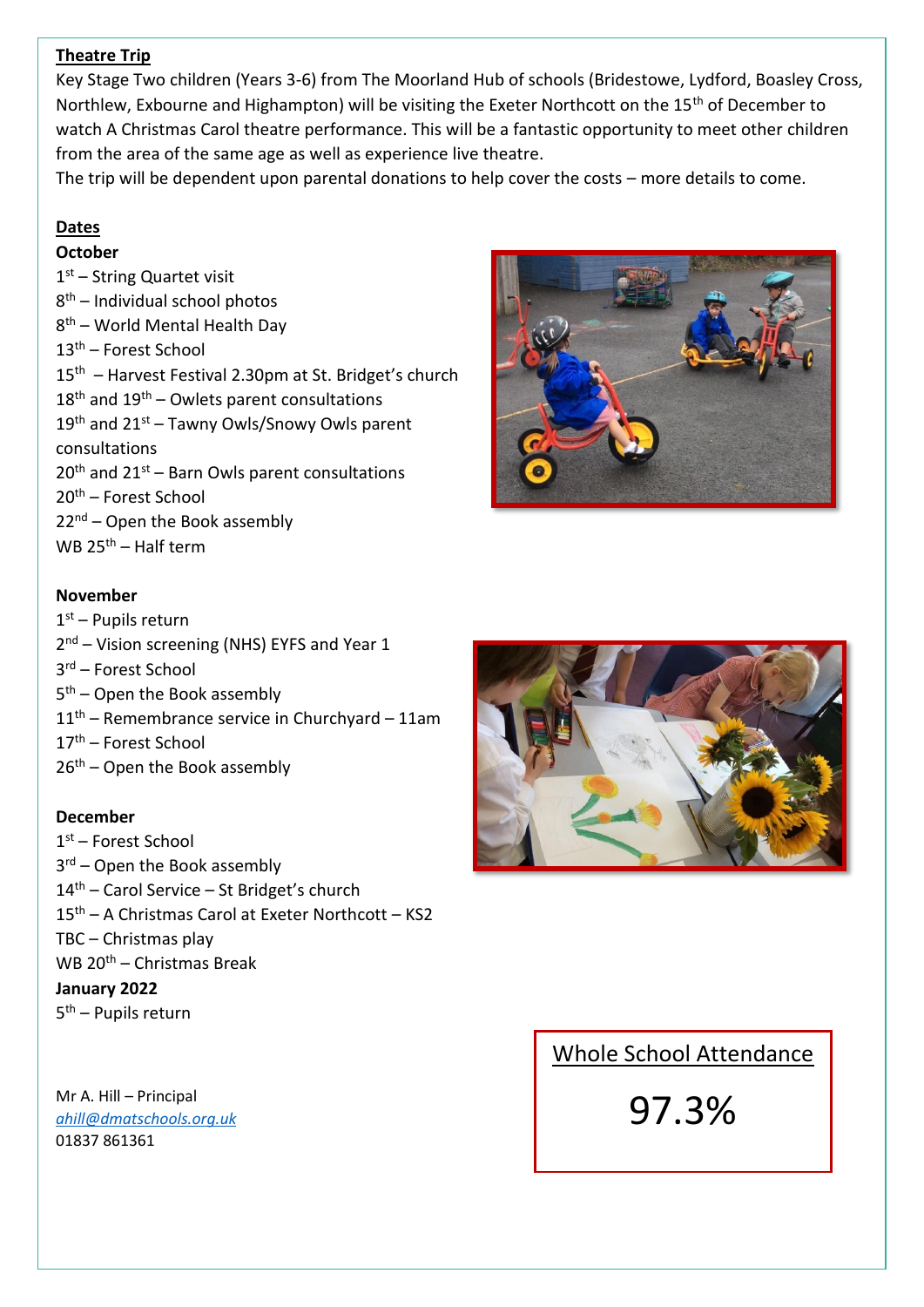## **Theatre Trip**

Key Stage Two children (Years 3-6) from The Moorland Hub of schools (Bridestowe, Lydford, Boasley Cross, Northlew, Exbourne and Highampton) will be visiting the Exeter Northcott on the 15<sup>th</sup> of December to watch A Christmas Carol theatre performance. This will be a fantastic opportunity to meet other children from the area of the same age as well as experience live theatre.

The trip will be dependent upon parental donations to help cover the costs – more details to come.

## **Dates**

## **October**

1st - String Quartet visit 8 th – Individual school photos 8 th – World Mental Health Day 13th – Forest School 15th – Harvest Festival 2.30pm at St. Bridget's church  $18<sup>th</sup>$  and  $19<sup>th</sup>$  – Owlets parent consultations  $19<sup>th</sup>$  and  $21<sup>st</sup>$  – Tawny Owls/Snowy Owls parent consultations  $20<sup>th</sup>$  and  $21<sup>st</sup>$  – Barn Owls parent consultations 20th – Forest School  $22<sup>nd</sup>$  – Open the Book assembly WB  $25<sup>th</sup>$  – Half term

### **November**

1st – Pupils return 2<sup>nd</sup> – Vision screening (NHS) EYFS and Year 1 3 rd – Forest School 5<sup>th</sup> – Open the Book assembly  $11<sup>th</sup>$  – Remembrance service in Churchyard – 11am 17th – Forest School  $26<sup>th</sup>$  – Open the Book assembly

#### **December**

1 st – Forest School 3<sup>rd</sup> – Open the Book assembly 14<sup>th</sup> – Carol Service – St Bridget's church 15th – A Christmas Carol at Exeter Northcott – KS2 TBC – Christmas play WB 20th – Christmas Break **January 2022** 5<sup>th</sup> – Pupils return

Mr A. Hill – Principal *[ahill@dmatschools.org.uk](mailto:head@bridestowe-primary.devon.sch.uk)* 01837 861361





# Whole School Attendance

97.3%